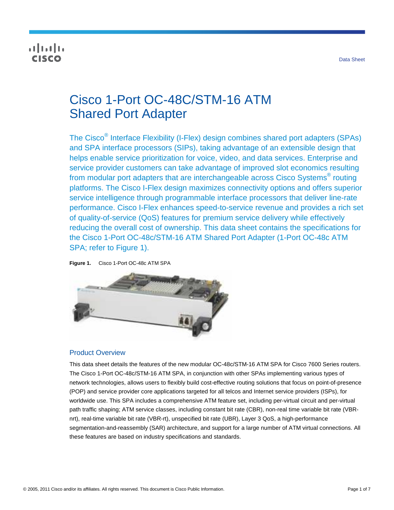# ahaha cisco

# Cisco 1-Port OC-48C/STM-16 ATM Shared Port Adapter

The Cisco<sup>®</sup> Interface Flexibility (I-Flex) design combines shared port adapters (SPAs) and SPA interface processors (SIPs), taking advantage of an extensible design that helps enable service prioritization for voice, video, and data services. Enterprise and service provider customers can take advantage of improved slot economics resulting from modular port adapters that are interchangeable across Cisco Systems $^{\circledast}$  routing platforms. The Cisco I-Flex design maximizes connectivity options and offers superior service intelligence through programmable interface processors that deliver line-rate performance. Cisco I-Flex enhances speed-to-service revenue and provides a rich set of quality-of-service (QoS) features for premium service delivery while effectively reducing the overall cost of ownership. This data sheet contains the specifications for the Cisco 1-Port OC-48c/STM-16 ATM Shared Port Adapter (1-Port OC-48c ATM SPA; refer to Figure 1).

**Figure 1.** Cisco 1-Port OC-48c ATM SPA



## Product Overview

This data sheet details the features of the new modular OC-48c/STM-16 ATM SPA for Cisco 7600 Series routers. The Cisco 1-Port OC-48c/STM-16 ATM SPA, in conjunction with other SPAs implementing various types of network technologies, allows users to flexibly build cost-effective routing solutions that focus on point-of-presence (POP) and service provider core applications targeted for all telcos and Internet service providers (ISPs), for worldwide use. This SPA includes a comprehensive ATM feature set, including per-virtual circuit and per-virtual path traffic shaping; ATM service classes, including constant bit rate (CBR), non-real time variable bit rate (VBRnrt), real-time variable bit rate (VBR-rt), unspecified bit rate (UBR), Layer 3 QoS, a high-performance segmentation-and-reassembly (SAR) architecture, and support for a large number of ATM virtual connections. All these features are based on industry specifications and standards.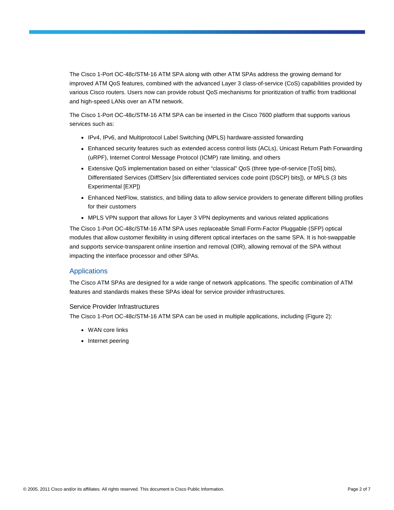The Cisco 1-Port OC-48c/STM-16 ATM SPA along with other ATM SPAs address the growing demand for improved ATM QoS features, combined with the advanced Layer 3 class-of-service (CoS) capabilities provided by various Cisco routers. Users now can provide robust QoS mechanisms for prioritization of traffic from traditional and high-speed LANs over an ATM network.

The Cisco 1-Port OC-48c/STM-16 ATM SPA can be inserted in the Cisco 7600 platform that supports various services such as:

- IPv4, IPv6, and Multiprotocol Label Switching (MPLS) hardware-assisted forwarding
- Enhanced security features such as extended access control lists (ACLs), Unicast Return Path Forwarding (uRPF), Internet Control Message Protocol (ICMP) rate limiting, and others
- Extensive QoS implementation based on either "classical" QoS (three type-of-service [ToS] bits), Differentiated Services (DiffServ [six differentiated services code point (DSCP) bits]), or MPLS (3 bits Experimental [EXP])
- Enhanced NetFlow, statistics, and billing data to allow service providers to generate different billing profiles for their customers
- MPLS VPN support that allows for Layer 3 VPN deployments and various related applications

The Cisco 1-Port OC-48c/STM-16 ATM SPA uses replaceable Small Form-Factor Pluggable (SFP) optical modules that allow customer flexibility in using different optical interfaces on the same SPA. It is hot-swappable and supports service-transparent online insertion and removal (OIR), allowing removal of the SPA without impacting the interface processor and other SPAs.

#### Applications

The Cisco ATM SPAs are designed for a wide range of network applications. The specific combination of ATM features and standards makes these SPAs ideal for service provider infrastructures.

#### Service Provider Infrastructures

The Cisco 1-Port OC-48c/STM-16 ATM SPA can be used in multiple applications, including (Figure 2):

- WAN core links
- Internet peering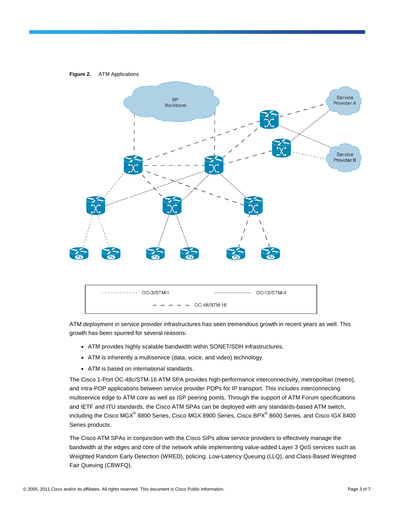

ATM deployment in service provider infrastructures has seen tremendous growth in recent years as well. This growth has been spurred for several reasons:

- ATM provides highly scalable bandwidth within SONET/SDH infrastructures.
- ATM is inherently a multiservice (data, voice, and video) technology.
- ATM is based on international standards.

The Cisco 1-Port OC-48c/STM-16 ATM SPA provides high-performance interconnectivity, metropolitan (metro), and intra-POP applications between service provider POPs for IP transport. This includes interconnecting multiservice edge to ATM core as well as ISP peering points. Through the support of ATM Forum specifications and IETF and ITU standards, the Cisco ATM SPAs can be deployed with any standards-based ATM switch, including the Cisco MGX® 8800 Series, Cisco MGX 8900 Series, Cisco BPX® 8600 Series, and Cisco IGX 8400 Series products.

The Cisco ATM SPAs in conjunction with the Cisco SIPs allow service providers to effectively manage the bandwidth at the edges and core of the network while implementing value-added Layer 3 QoS services such as Weighted Random Early Detection (WRED), policing, Low-Latency Queuing (LLQ), and Class-Based Weighted Fair Queuing (CBWFQ).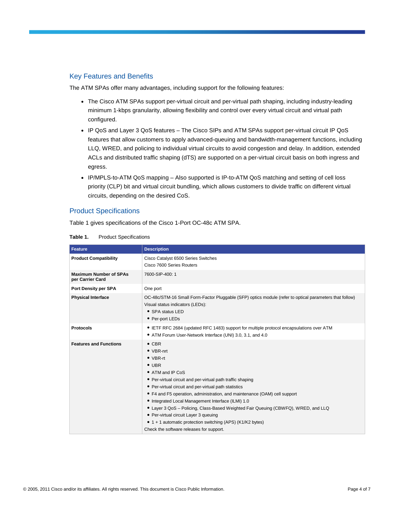#### Key Features and Benefits

The ATM SPAs offer many advantages, including support for the following features:

- The Cisco ATM SPAs support per-virtual circuit and per-virtual path shaping, including industry-leading minimum 1-kbps granularity, allowing flexibility and control over every virtual circuit and virtual path configured.
- IP QoS and Layer 3 QoS features The Cisco SIPs and ATM SPAs support per-virtual circuit IP QoS features that allow customers to apply advanced-queuing and bandwidth-management functions, including LLQ, WRED, and policing to individual virtual circuits to avoid congestion and delay. In addition, extended ACLs and distributed traffic shaping (dTS) are supported on a per-virtual circuit basis on both ingress and egress.
- IP/MPLS-to-ATM QoS mapping Also supported is IP-to-ATM QoS matching and setting of cell loss priority (CLP) bit and virtual circuit bundling, which allows customers to divide traffic on different virtual circuits, depending on the desired CoS.

#### Product Specifications

Table 1 gives specifications of the Cisco 1-Port OC-48c ATM SPA.

| Feature                                           | <b>Description</b>                                                                                                                                                                                                                                                                                                                                                                                                                                                                                                                                                                             |  |  |  |
|---------------------------------------------------|------------------------------------------------------------------------------------------------------------------------------------------------------------------------------------------------------------------------------------------------------------------------------------------------------------------------------------------------------------------------------------------------------------------------------------------------------------------------------------------------------------------------------------------------------------------------------------------------|--|--|--|
| <b>Product Compatibility</b>                      | Cisco Catalyst 6500 Series Switches<br>Cisco 7600 Series Routers                                                                                                                                                                                                                                                                                                                                                                                                                                                                                                                               |  |  |  |
| <b>Maximum Number of SPAs</b><br>per Carrier Card | 7600-SIP-400: 1                                                                                                                                                                                                                                                                                                                                                                                                                                                                                                                                                                                |  |  |  |
| Port Density per SPA                              | One port                                                                                                                                                                                                                                                                                                                                                                                                                                                                                                                                                                                       |  |  |  |
| <b>Physical Interface</b>                         | OC-48c/STM-16 Small Form-Factor Pluggable (SFP) optics module (refer to optical parameters that follow)<br>Visual status indicators (LEDs):<br>• SPA status LED<br>• Per-port LEDs                                                                                                                                                                                                                                                                                                                                                                                                             |  |  |  |
| <b>Protocols</b>                                  | • IETF RFC 2684 (updated RFC 1483) support for multiple protocol encapsulations over ATM<br>• ATM Forum User-Network Interface (UNI) 3.0, 3.1, and 4.0                                                                                                                                                                                                                                                                                                                                                                                                                                         |  |  |  |
| <b>Features and Functions</b>                     | $\bullet$ CBR<br>$\bullet$ VBR-nrt<br>$\bullet$ VBR-rt<br>$\bullet$ UBR<br>• ATM and IP CoS<br>• Per-virtual circuit and per-virtual path traffic shaping<br>• Per-virtual circuit and per-virtual path statistics<br>• F4 and F5 operation, administration, and maintenance (OAM) cell support<br>• Integrated Local Management Interface (ILMI) 1.0<br>• Layer 3 QoS - Policing, Class-Based Weighted Fair Queuing (CBWFQ), WRED, and LLQ<br>• Per-virtual circuit Layer 3 queuing<br>• 1 + 1 automatic protection switching (APS) (K1/K2 bytes)<br>Check the software releases for support. |  |  |  |

#### **Table 1.** Product Specifications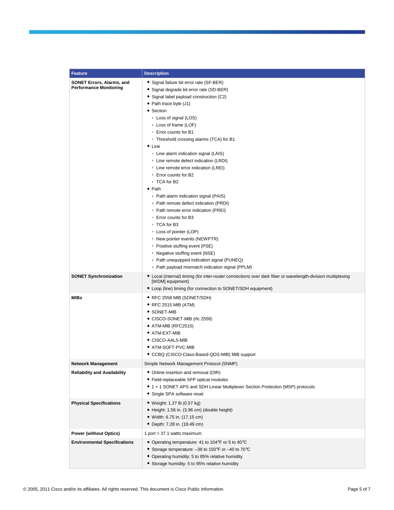| <b>Feature</b>                                                    | <b>Description</b>                                                                                                                                                                                                                                                                                                                                                                                                                                                                                                                                                                                                                                                                                                                                                                                                                                                                                                 |
|-------------------------------------------------------------------|--------------------------------------------------------------------------------------------------------------------------------------------------------------------------------------------------------------------------------------------------------------------------------------------------------------------------------------------------------------------------------------------------------------------------------------------------------------------------------------------------------------------------------------------------------------------------------------------------------------------------------------------------------------------------------------------------------------------------------------------------------------------------------------------------------------------------------------------------------------------------------------------------------------------|
| <b>SONET Errors, Alarms, and</b><br><b>Performance Monitoring</b> | • Signal failure bit error rate (SF-BER)<br>• Signal degrade bit error rate (SD-BER)<br>• Signal label payload construction (C2)<br>• Path trace byte (J1)<br>• Section<br>• Loss of signal (LOS)<br>• Loss of frame (LOF)<br>○ Error counts for B1<br>• Threshold crossing alarms (TCA) for B1<br>$\bullet$ Line<br>• Line alarm indication signal (LAIS)<br>• Line remote defect indication (LRDI)<br>• Line remote error indication (LREI)<br>○ Error counts for B2<br>∘ TCA for B2<br>$\bullet$ Path<br>• Path alarm indication signal (PAIS)<br>• Path remote defect indication (PRDI)<br>• Path remote error indication (PREI)<br>∘ Error counts for B3<br>∘ TCA for B3<br>• Loss of pointer (LOP)<br>• New pointer events (NEWPTR)<br>• Positive stuffing event (PSE)<br>• Negative stuffing event (NSE)<br>• Path unequipped indication signal (PUNEQ)<br>• Path payload mismatch indication signal (PPLM) |
| <b>SONET Synchronization</b>                                      | • Local (internal) timing (for inter-router connections over dark fiber or wavelength-division multiplexing<br>[WDM] equipment)<br>• Loop (line) timing (for connection to SONET/SDH equipment)                                                                                                                                                                                                                                                                                                                                                                                                                                                                                                                                                                                                                                                                                                                    |
| <b>MIBs</b>                                                       | • RFC 2558 MIB (SONET/SDH)<br>• RFC 2515 MIB (ATM)<br>$\bullet$ Sonet-Mib<br>• CISCO-SONET-MIB (rfc 2558)<br>$\bullet$ ATM-MIB (RFC2515)<br>$\bullet$ ATM-EXT-MIB<br>$\bullet$ CISCO-AAL5-MIB<br>• ATM-SOFT-PVC-MIB<br>• CCBQ (CISCO-Class-Based-QOS-MIB) MIB support                                                                                                                                                                                                                                                                                                                                                                                                                                                                                                                                                                                                                                              |
| <b>Network Management</b>                                         | Simple Network Management Protocol (SNMP)                                                                                                                                                                                                                                                                                                                                                                                                                                                                                                                                                                                                                                                                                                                                                                                                                                                                          |
| <b>Reliability and Availability</b>                               | • Online insertion and removal (OIR)<br>• Field-replaceable SFP optical modules<br>• 1 + 1 SONET APS and SDH Linear Multiplexer Section Protection (MSP) protocols<br>• Single SPA software reset                                                                                                                                                                                                                                                                                                                                                                                                                                                                                                                                                                                                                                                                                                                  |
| <b>Physical Specifications</b>                                    | • Weight: 1.27 lb (0.57 kg)<br>• Height: 1.56 in. (3.96 cm) (double height)<br>• Width: 6.75 in. (17.15 cm)<br>• Depth: 7.28 in. (18.49 cm)                                                                                                                                                                                                                                                                                                                                                                                                                                                                                                                                                                                                                                                                                                                                                                        |
| <b>Power (without Optics)</b>                                     | 1 port = $37.1$ watts maximum                                                                                                                                                                                                                                                                                                                                                                                                                                                                                                                                                                                                                                                                                                                                                                                                                                                                                      |
| <b>Environmental Specifications</b>                               | • Operating temperature: 41 to 104°F or 5 to 40°C<br>• Storage temperature: -38 to 150°F or -40 to 70°C<br>• Operating humidity: 5 to 85% relative humidity<br>• Storage humidity: 5 to 95% relative humidity                                                                                                                                                                                                                                                                                                                                                                                                                                                                                                                                                                                                                                                                                                      |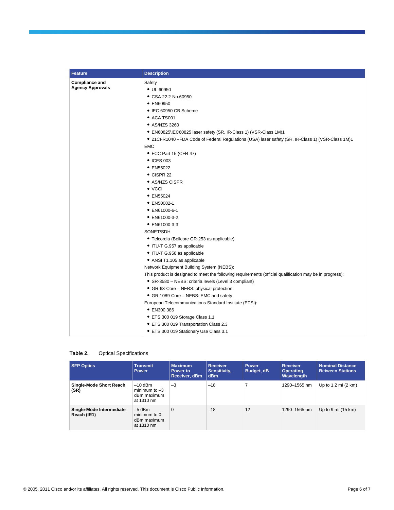| <b>Feature</b>                                   | <b>Description</b>                                                                                       |  |  |  |
|--------------------------------------------------|----------------------------------------------------------------------------------------------------------|--|--|--|
| <b>Compliance and</b><br><b>Agency Approvals</b> | Safety                                                                                                   |  |  |  |
|                                                  | • UL 60950                                                                                               |  |  |  |
|                                                  | • CSA 22.2-No.60950                                                                                      |  |  |  |
|                                                  | • EN60950                                                                                                |  |  |  |
|                                                  | • IEC 60950 CB Scheme                                                                                    |  |  |  |
|                                                  | • ACA TS001                                                                                              |  |  |  |
|                                                  | • AS/NZS 3260                                                                                            |  |  |  |
|                                                  | • EN60825\IEC60825 laser safety (SR, IR-Class 1) (VSR-Class 1M)1                                         |  |  |  |
|                                                  | • 21 CFR 1040 - FDA Code of Federal Regulations (USA) laser safety (SR, IR-Class 1) (VSR-Class 1M) 1     |  |  |  |
|                                                  | <b>EMC</b>                                                                                               |  |  |  |
|                                                  | • FCC Part 15 (CFR 47)                                                                                   |  |  |  |
|                                                  | • ICES 003                                                                                               |  |  |  |
|                                                  | • EN55022                                                                                                |  |  |  |
|                                                  | $\bullet$ CISPR 22                                                                                       |  |  |  |
|                                                  | • AS/NZS CISPR                                                                                           |  |  |  |
|                                                  | $\bullet$ VCCI                                                                                           |  |  |  |
|                                                  | $\bullet$ EN55024                                                                                        |  |  |  |
|                                                  | • EN50082-1                                                                                              |  |  |  |
|                                                  | • EN61000-6-1                                                                                            |  |  |  |
|                                                  | • EN61000-3-2                                                                                            |  |  |  |
|                                                  | • EN61000-3-3                                                                                            |  |  |  |
|                                                  | SONET/SDH                                                                                                |  |  |  |
|                                                  | • Telcordia (Bellcore GR-253 as applicable)                                                              |  |  |  |
|                                                  | • ITU-T G.957 as applicable                                                                              |  |  |  |
|                                                  | • ITU-T G.958 as applicable                                                                              |  |  |  |
|                                                  | • ANSI T1.105 as applicable                                                                              |  |  |  |
|                                                  | Network Equipment Building System (NEBS):                                                                |  |  |  |
|                                                  | This product is designed to meet the following requirements (official qualification may be in progress): |  |  |  |
|                                                  | • SR-3580 – NEBS: criteria levels (Level 3 compliant)                                                    |  |  |  |
|                                                  | • GR-63-Core - NEBS: physical protection                                                                 |  |  |  |
|                                                  | • GR-1089-Core – NEBS: EMC and safety                                                                    |  |  |  |
|                                                  | European Telecommunications Standard Institute (ETSI):                                                   |  |  |  |
|                                                  | • EN300 386                                                                                              |  |  |  |
|                                                  | • ETS 300 019 Storage Class 1.1                                                                          |  |  |  |
|                                                  | • ETS 300 019 Transportation Class 2.3                                                                   |  |  |  |
|                                                  | • ETS 300 019 Stationary Use Class 3.1                                                                   |  |  |  |

| Table 2. | <b>Optical Specifications</b> |
|----------|-------------------------------|
|----------|-------------------------------|

| <b>SFP Optics</b>                       | <b>Transmit</b><br><b>Power</b>                           | <b>Maximum</b><br>Power to<br>Receiver, dBm | <b>Receiver</b><br>Sensitivity,<br><b>dBm</b> | Power<br>Budget, dB | <b>Receiver</b><br><b>Operating</b><br>Wavelength | <b>Nominal Distance</b><br><b>Between Stations</b> |
|-----------------------------------------|-----------------------------------------------------------|---------------------------------------------|-----------------------------------------------|---------------------|---------------------------------------------------|----------------------------------------------------|
| Single-Mode Short Reach<br>(SR)         | $-10$ dBm<br>minimum to $-3$<br>dBm maximum<br>at 1310 nm | $-3$                                        | $-18$                                         |                     | 1290-1565 nm                                      | Up to $1.2$ mi $(2 \text{ km})$                    |
| Single-Mode Intermediate<br>Reach (IR1) | $-5$ dBm<br>minimum to 0<br>dBm maximum<br>at 1310 nm     | $\mathbf 0$                                 | $-18$                                         | 12                  | 1290-1565 nm                                      | Up to $9 \text{ mi}$ (15 km)                       |